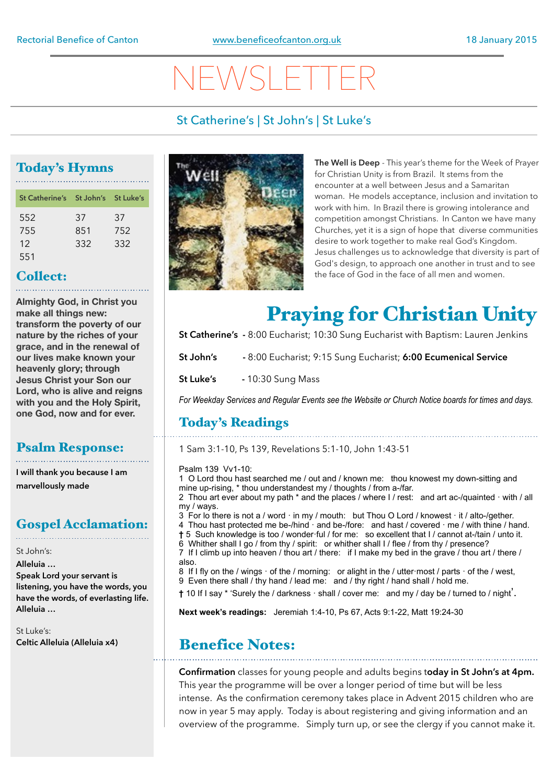# NEWSLETTER

## St Catherine's | St John's | St Luke's

## Today's Hymns

| St Catherine's St John's St Luke's |     |     |
|------------------------------------|-----|-----|
| 552                                | 37  | 37  |
| 755                                | 851 | 752 |
| 12                                 | 332 | 332 |
| 551                                |     |     |

## Collect:

**Almighty God, in Christ you make all things new: transform the poverty of our nature by the riches of your grace, and in the renewal of our lives make known your heavenly glory; through Jesus Christ your Son our Lord, who is alive and reigns with you and the Holy Spirit, one God, now and for ever.** 

### Psalm Response:

**I will thank you because I am marvellously made**

## Gospel Acclamation:

St John's: **Alleluia … Speak Lord your servant is listening, you have the words, you have the words, of everlasting life. Alleluia …**

St Luke's: **Celtic Alleluia (Alleluia x4)** 



**The Well is Deep** - This year's theme for the Week of Prayer for Christian Unity is from Brazil. It stems from the encounter at a well between Jesus and a Samaritan woman. He models acceptance, inclusion and invitation to work with him. In Brazil there is growing intolerance and competition amongst Christians. In Canton we have many Churches, yet it is a sign of hope that diverse communities desire to work together to make real God's Kingdom. Jesus challenges us to acknowledge that diversity is part of God's design, to approach one another in trust and to see the face of God in the face of all men and women.

## Praying for Christian Unity

**St Catherine's -** 8:00 Eucharist; 10:30 Sung Eucharist with Baptism: Lauren Jenkins

**St John's -** 8:00 Eucharist; 9:15 Sung Eucharist; **6:00 Ecumenical Service** 

**St Luke's** - 10:30 Sung Mass

*For Weekday Services and Regular Events see the Website or Church Notice boards for times and days.*

## Today's Readings

1 Sam 3:1-10, Ps 139, Revelations 5:1-10, John 1:43-51

### Psalm 139 Vv1-10:

1 O Lord thou hast searched me / out and / known me: thou knowest my down-sitting and mine up-rising, \* thou understandest my / thoughts / from a-/far.

2 Thou art ever about my path  $*$  and the places / where I / rest: and art ac-/quainted  $\cdot$  with / all my / ways.

 $3$  For lo there is not a / word  $\cdot$  in my / mouth: but Thou O Lord / knowest  $\cdot$  it / alto-/gether. 4 Thou hast protected me be-/hind  $\cdot$  and be-/fore: and hast / covered  $\cdot$  me / with thine / hand.

- **†** 5 Such knowledge is too / wonder·ful / for me: so excellent that I / cannot at-/tain / unto it.
- 6 Whither shall I go / from thy / spirit: or whither shall I / flee / from thy / presence?
- 7 If I climb up into heaven / thou art / there: if I make my bed in the grave / thou art / there / also.
- 8 If I fly on the / wings  $\cdot$  of the / morning: or alight in the / utter $\cdot$  most / parts  $\cdot$  of the / west,
- 9 Even there shall / thy hand / lead me: and / thy right / hand shall / hold me.
- **†** 10 If I say \* 'Surely the / darkness · shall / cover me: and my / day be / turned to / night'.

**Next week's readings:** Jeremiah 1:4-10, Ps 67, Acts 9:1-22, Matt 19:24-30

## Benefice Notes:

**Confirmation** classes for young people and adults begins t**oday in St John's at 4pm.**  This year the programme will be over a longer period of time but will be less intense. As the confirmation ceremony takes place in Advent 2015 children who are now in year 5 may apply. Today is about registering and giving information and an overview of the programme. Simply turn up, or see the clergy if you cannot make it.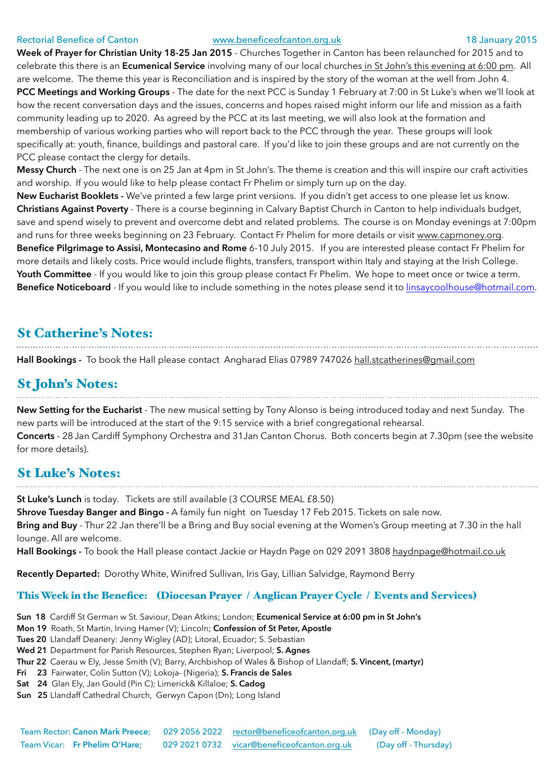### Rectorial Benefice of Canton [www.beneficeofcanton.org.uk](http://www.beneficeofcanton.org.uk) 18 January 2015

**Week of Prayer for Christian Unity 18-25 Jan 2015** - Churches Together in Canton has been relaunched for 2015 and to celebrate this there is an **Ecumenical Service** involving many of our local churches in St John's this evening at 6:00 pm. All are welcome. The theme this year is Reconciliation and is inspired by the story of the woman at the well from John 4. **PCC Meetings and Working Groups -** The date for the next PCC is Sunday 1 February at 7:00 in St Luke's when we'll look at how the recent conversation days and the issues, concerns and hopes raised might inform our life and mission as a faith community leading up to 2020. As agreed by the PCC at its last meeting, we will also look at the formation and membership of various working parties who will report back to the PCC through the year. These groups will look specifically at: youth, finance, buildings and pastoral care. If you'd like to join these groups and are not currently on the PCC please contact the clergy for details.

**Messy Church** - The next one is on 25 Jan at 4pm in St John's. The theme is creation and this will inspire our craft activities and worship. If you would like to help please contact Fr Phelim or simply turn up on the day.

**New Eucharist Booklets -** We've printed a few large print versions. If you didn't get access to one please let us know. **Christians Against Poverty** - There is a course beginning in Calvary Baptist Church in Canton to help individuals budget, save and spend wisely to prevent and overcome debt and related problems. The course is on Monday evenings at 7:00pm and runs for three weeks beginning on 23 February. Contact Fr Phelim for more details or visit [www.capmoney.org.](http://www.capmoney.org) **Benefice Pilgrimage to Assisi, Montecasino and Rome** 6-10 July 2015. If you are interested please contact Fr Phelim for more details and likely costs. Price would include flights, transfers, transport within Italy and staying at the Irish College. **Youth Committee** - If you would like to join this group please contact Fr Phelim. We hope to meet once or twice a term. **Benefice Noticeboard** - If you would like to include something in the notes please send it to [linsaycoolhouse@hotmail.com](mailto:linsaycoolhouse@hotmail.com).

## St Catherine's Notes:

Hall Bookings - To book the Hall please contact Angharad Elias 07989 747026 [hall.stcatherines@gmail.com](mailto:hall.stcatherines@gmail.com)

## St John's Notes:

**New Setting for the Eucharist** - The new musical setting by Tony Alonso is being introduced today and next Sunday. The new parts will be introduced at the start of the 9:15 service with a brief congregational rehearsal. **Concerts** - 28 Jan Cardiff Symphony Orchestra and 31Jan Canton Chorus. Both concerts begin at 7.30pm (see the website for more details).

## St Luke's Notes:

**St Luke's Lunch** is today. Tickets are still available (3 COURSE MEAL £8.50)

**Shrove Tuesday Banger and Bingo -** A family fun night on Tuesday 17 Feb 2015. Tickets on sale now. **Bring and Buy** - Thur 22 Jan there'll be a Bring and Buy social evening at the Women's Group meeting at 7.30 in the hall lounge. All are welcome.

**Hall Bookings -** To book the Hall please contact Jackie or Haydn Page on 029 2091 3808 [haydnpage@hotmail.co.uk](mailto:haydnpage@hotmail.co.uk)

**Recently Departed:** Dorothy White, Winifred Sullivan, Iris Gay, Lillian Salvidge, Raymond Berry

## This Week in the Benefice: (Diocesan Prayer / Anglican Prayer Cycle / Events and Services)

- **Sun 18** Cardiff St German w St. Saviour, Dean Atkins; London; **Ecumenical Service at 6:00 pm in St John's**
- **Mon 19** Roath, St Martin, Irving Hamer (V); Lincoln; **Confession of St Peter, Apostle**
- **Tues 20** Llandaff Deanery: Jenny Wigley (AD); Litoral, Ecuador; S. Sebastian
- **Wed 21** Department for Parish Resources, Stephen Ryan; Liverpool; **S. Agnes**
- **Thur 22** Caerau w Ely, Jesse Smith (V); Barry, Archbishop of Wales & Bishop of Llandaff; **S. Vincent, (martyr)**
- **Fri 23** Fairwater, Colin Sutton (V); Lokoja- (Nigeria); **S. Francis de Sales**
- **Sat 24** Glan Ely, Jan Gould (Pin C); Limerick& Killaloe; **S. Cadog**
- **Sun 25** Llandaff Cathedral Church, Gerwyn Capon (Dn); Long Island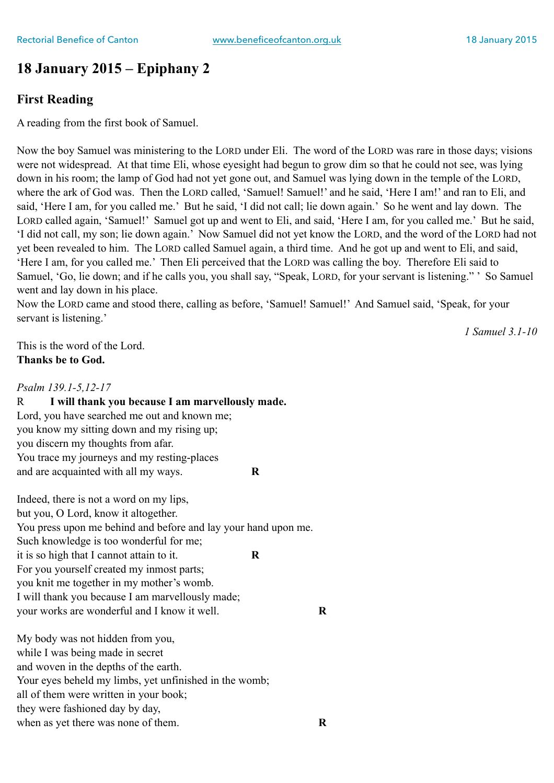## **18 January 2015 – Epiphany 2**

## **First Reading**

A reading from the first book of Samuel.

Now the boy Samuel was ministering to the LORD under Eli. The word of the LORD was rare in those days; visions were not widespread. At that time Eli, whose eyesight had begun to grow dim so that he could not see, was lying down in his room; the lamp of God had not yet gone out, and Samuel was lying down in the temple of the LORD, where the ark of God was. Then the LORD called, 'Samuel! Samuel!' and he said, 'Here I am!' and ran to Eli, and said, 'Here I am, for you called me.' But he said, 'I did not call; lie down again.' So he went and lay down. The LORD called again, 'Samuel!' Samuel got up and went to Eli, and said, 'Here I am, for you called me.' But he said, 'I did not call, my son; lie down again.' Now Samuel did not yet know the LORD, and the word of the LORD had not yet been revealed to him. The LORD called Samuel again, a third time. And he got up and went to Eli, and said, 'Here I am, for you called me.' Then Eli perceived that the LORD was calling the boy. Therefore Eli said to Samuel, 'Go, lie down; and if he calls you, you shall say, "Speak, LORD, for your servant is listening." ' So Samuel went and lay down in his place.

Now the LORD came and stood there, calling as before, 'Samuel! Samuel!' And Samuel said, 'Speak, for your servant is listening.'

*1 Samuel 3.1-10* 

This is the word of the Lord. **Thanks be to God.** 

## *Psalm 139.1-5,12-17*

R **I will thank you because I am marvellously made.**  Lord, you have searched me out and known me; you know my sitting down and my rising up; you discern my thoughts from afar. You trace my journeys and my resting-places and are acquainted with all my ways. **R** 

Indeed, there is not a word on my lips, but you, O Lord, know it altogether. You press upon me behind and before and lay your hand upon me. Such knowledge is too wonderful for me; it is so high that I cannot attain to it. **R**  For you yourself created my inmost parts; you knit me together in my mother's womb. I will thank you because I am marvellously made; your works are wonderful and I know it well. **R** 

My body was not hidden from you, while I was being made in secret and woven in the depths of the earth. Your eyes beheld my limbs, yet unfinished in the womb; all of them were written in your book; they were fashioned day by day, when as yet there was none of them. **R**